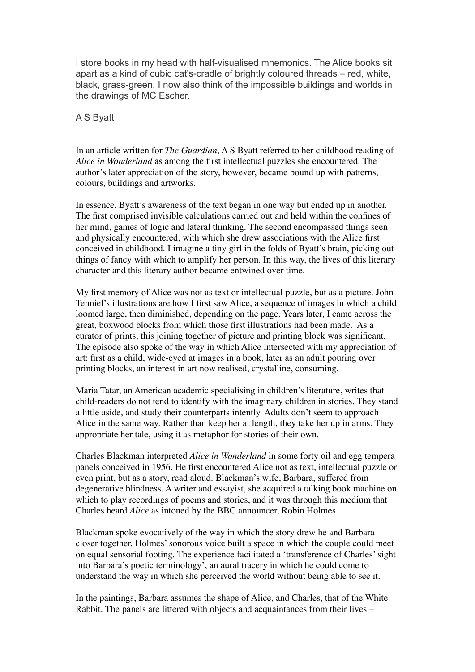I store books in my head with half-visualised mnemonics. The Alice books sit apart as a kind of cubic cat's-cradle of brightly coloured threads – red, white, black, grass-green. I now also think of the impossible buildings and worlds in the drawings of MC Escher.

## A S Byatt

In an article written for *The Guardian*, A S Byatt referred to her childhood reading of *Alice in Wonderland* as among the first intellectual puzzles she encountered. The author's later appreciation of the story, however, became bound up with patterns, colours, buildings and artworks.

In essence, Byatt's awareness of the text began in one way but ended up in another. The first comprised invisible calculations carried out and held within the confines of her mind, games of logic and lateral thinking. The second encompassed things seen and physically encountered, with which she drew associations with the Alice first conceived in childhood. I imagine a tiny girl in the folds of Byatt's brain, picking out things of fancy with which to amplify her person. In this way, the lives of this literary character and this literary author became entwined over time.

My first memory of Alice was not as text or intellectual puzzle, but as a picture. John Tenniel's illustrations are how I first saw Alice, a sequence of images in which a child loomed large, then diminished, depending on the page. Years later, I came across the great, boxwood blocks from which those first illustrations had been made. As a curator of prints, this joining together of picture and printing block was significant. The episode also spoke of the way in which Alice intersected with my appreciation of art: first as a child, wide-eyed at images in a book, later as an adult pouring over printing blocks, an interest in art now realised, crystalline, consuming.

Maria Tatar, an American academic specialising in children's literature, writes that child-readers do not tend to identify with the imaginary children in stories. They stand a little aside, and study their counterparts intently. Adults don't seem to approach Alice in the same way. Rather than keep her at length, they take her up in arms. They appropriate her tale, using it as metaphor for stories of their own.

Charles Blackman interpreted *Alice in Wonderland* in some forty oil and egg tempera panels conceived in 1956. He first encountered Alice not as text, intellectual puzzle or even print, but as a story, read aloud. Blackman's wife, Barbara, suffered from degenerative blindness. A writer and essayist, she acquired a talking book machine on which to play recordings of poems and stories, and it was through this medium that Charles heard *Alice* as intoned by the BBC announcer, Robin Holmes.

Blackman spoke evocatively of the way in which the story drew he and Barbara closer together. Holmes' sonorous voice built a space in which the couple could meet on equal sensorial footing. The experience facilitated a 'transference of Charles' sight into Barbara's poetic terminology', an aural tracery in which he could come to understand the way in which she perceived the world without being able to see it.

In the paintings, Barbara assumes the shape of Alice, and Charles, that of the White Rabbit. The panels are littered with objects and acquaintances from their lives –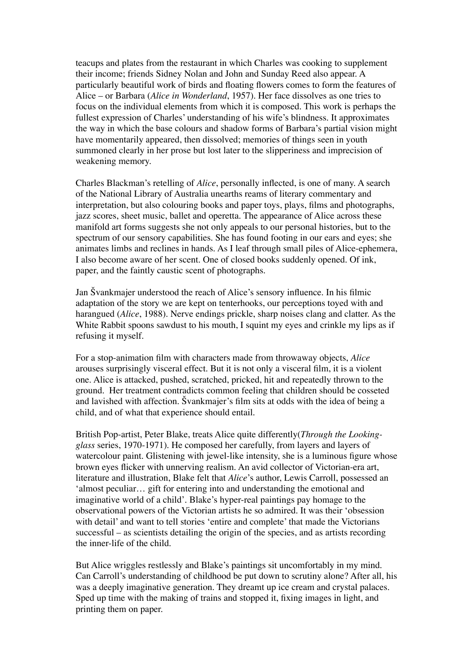teacups and plates from the restaurant in which Charles was cooking to supplement their income; friends Sidney Nolan and John and Sunday Reed also appear. A particularly beautiful work of birds and floating flowers comes to form the features of Alice – or Barbara (*Alice in Wonderland*, 1957). Her face dissolves as one tries to focus on the individual elements from which it is composed. This work is perhaps the fullest expression of Charles' understanding of his wife's blindness. It approximates the way in which the base colours and shadow forms of Barbara's partial vision might have momentarily appeared, then dissolved; memories of things seen in youth summoned clearly in her prose but lost later to the slipperiness and imprecision of weakening memory.

Charles Blackman's retelling of *Alice*, personally inflected, is one of many. A search of the National Library of Australia unearths reams of literary commentary and interpretation, but also colouring books and paper toys, plays, films and photographs, jazz scores, sheet music, ballet and operetta. The appearance of Alice across these manifold art forms suggests she not only appeals to our personal histories, but to the spectrum of our sensory capabilities. She has found footing in our ears and eyes; she animates limbs and reclines in hands. As I leaf through small piles of Alice-ephemera, I also become aware of her scent. One of closed books suddenly opened. Of ink, paper, and the faintly caustic scent of photographs.

Jan Švankmajer understood the reach of Alice's sensory influence. In his filmic adaptation of the story we are kept on tenterhooks, our perceptions toyed with and harangued (*Alice*, 1988). Nerve endings prickle, sharp noises clang and clatter. As the White Rabbit spoons sawdust to his mouth, I squint my eyes and crinkle my lips as if refusing it myself.

For a stop-animation film with characters made from throwaway objects, *Alice* arouses surprisingly visceral effect. But it is not only a visceral film, it is a violent one. Alice is attacked, pushed, scratched, pricked, hit and repeatedly thrown to the ground. Her treatment contradicts common feeling that children should be cosseted and lavished with affection. Švankmajer's film sits at odds with the idea of being a child, and of what that experience should entail.

British Pop-artist, Peter Blake, treats Alice quite differently(*Through the Lookingglass* series, 1970-1971). He composed her carefully, from layers and layers of watercolour paint. Glistening with jewel-like intensity, she is a luminous figure whose brown eyes flicker with unnerving realism. An avid collector of Victorian-era art, literature and illustration, Blake felt that *Alice*'s author, Lewis Carroll, possessed an 'almost peculiar… gift for entering into and understanding the emotional and imaginative world of a child'. Blake's hyper-real paintings pay homage to the observational powers of the Victorian artists he so admired. It was their 'obsession with detail' and want to tell stories 'entire and complete' that made the Victorians successful – as scientists detailing the origin of the species, and as artists recording the inner-life of the child.

But Alice wriggles restlessly and Blake's paintings sit uncomfortably in my mind. Can Carroll's understanding of childhood be put down to scrutiny alone? After all, his was a deeply imaginative generation. They dreamt up ice cream and crystal palaces. Sped up time with the making of trains and stopped it, fixing images in light, and printing them on paper.